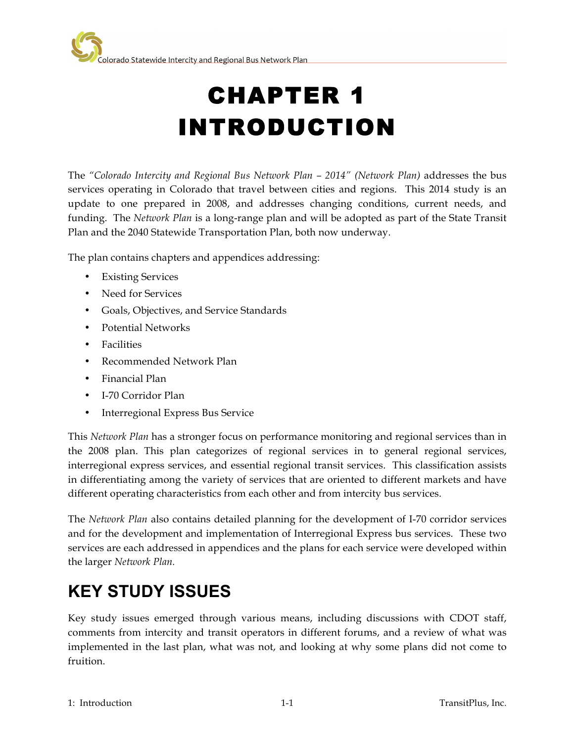

# CHAPTER 1 INTRODUCTION

The *"Colorado Intercity and Regional Bus Network Plan – 2014" (Network Plan)* addresses the bus services operating in Colorado that travel between cities and regions. This 2014 study is an update to one prepared in 2008, and addresses changing conditions, current needs, and funding. The *Network Plan* is a long-range plan and will be adopted as part of the State Transit Plan and the 2040 Statewide Transportation Plan, both now underway.

The plan contains chapters and appendices addressing:

- Existing Services
- Need for Services
- Goals, Objectives, and Service Standards
- Potential Networks
- Facilities
- Recommended Network Plan
- Financial Plan
- I-70 Corridor Plan
- Interregional Express Bus Service

This *Network Plan* has a stronger focus on performance monitoring and regional services than in the 2008 plan. This plan categorizes of regional services in to general regional services, interregional express services, and essential regional transit services. This classification assists in differentiating among the variety of services that are oriented to different markets and have different operating characteristics from each other and from intercity bus services.

The *Network Plan* also contains detailed planning for the development of I-70 corridor services and for the development and implementation of Interregional Express bus services. These two services are each addressed in appendices and the plans for each service were developed within the larger *Network Plan.*

### **KEY STUDY ISSUES**

Key study issues emerged through various means, including discussions with CDOT staff, comments from intercity and transit operators in different forums, and a review of what was implemented in the last plan, what was not, and looking at why some plans did not come to fruition.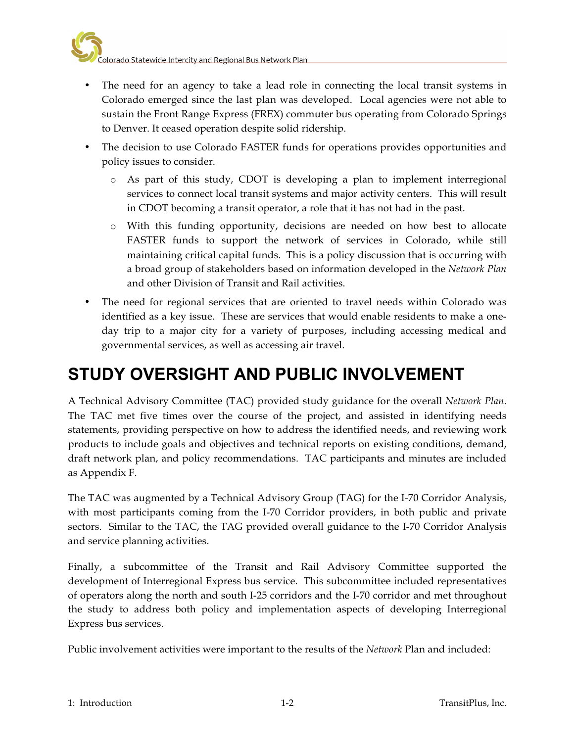- The need for an agency to take a lead role in connecting the local transit systems in Colorado emerged since the last plan was developed. Local agencies were not able to sustain the Front Range Express (FREX) commuter bus operating from Colorado Springs to Denver. It ceased operation despite solid ridership.
- The decision to use Colorado FASTER funds for operations provides opportunities and policy issues to consider.
	- o As part of this study, CDOT is developing a plan to implement interregional services to connect local transit systems and major activity centers. This will result in CDOT becoming a transit operator, a role that it has not had in the past.
	- o With this funding opportunity, decisions are needed on how best to allocate FASTER funds to support the network of services in Colorado, while still maintaining critical capital funds. This is a policy discussion that is occurring with a broad group of stakeholders based on information developed in the *Network Plan* and other Division of Transit and Rail activities.
- The need for regional services that are oriented to travel needs within Colorado was identified as a key issue. These are services that would enable residents to make a oneday trip to a major city for a variety of purposes, including accessing medical and governmental services, as well as accessing air travel.

### **STUDY OVERSIGHT AND PUBLIC INVOLVEMENT**

A Technical Advisory Committee (TAC) provided study guidance for the overall *Network Plan*. The TAC met five times over the course of the project, and assisted in identifying needs statements, providing perspective on how to address the identified needs, and reviewing work products to include goals and objectives and technical reports on existing conditions, demand, draft network plan, and policy recommendations. TAC participants and minutes are included as Appendix F.

The TAC was augmented by a Technical Advisory Group (TAG) for the I-70 Corridor Analysis, with most participants coming from the I-70 Corridor providers, in both public and private sectors. Similar to the TAC, the TAG provided overall guidance to the I-70 Corridor Analysis and service planning activities.

Finally, a subcommittee of the Transit and Rail Advisory Committee supported the development of Interregional Express bus service. This subcommittee included representatives of operators along the north and south I-25 corridors and the I-70 corridor and met throughout the study to address both policy and implementation aspects of developing Interregional Express bus services.

Public involvement activities were important to the results of the *Network* Plan and included: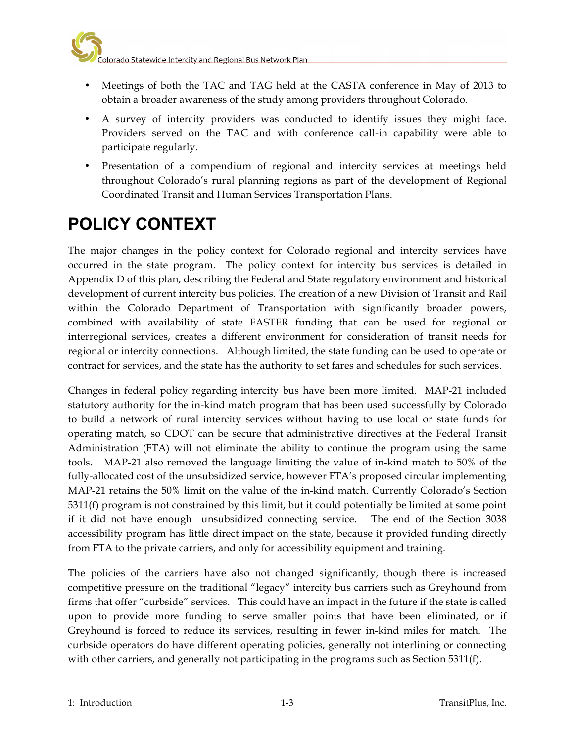- Meetings of both the TAC and TAG held at the CASTA conference in May of 2013 to obtain a broader awareness of the study among providers throughout Colorado.
- A survey of intercity providers was conducted to identify issues they might face. Providers served on the TAC and with conference call-in capability were able to participate regularly.
- Presentation of a compendium of regional and intercity services at meetings held throughout Colorado's rural planning regions as part of the development of Regional Coordinated Transit and Human Services Transportation Plans.

# **POLICY CONTEXT**

The major changes in the policy context for Colorado regional and intercity services have occurred in the state program. The policy context for intercity bus services is detailed in Appendix D of this plan, describing the Federal and State regulatory environment and historical development of current intercity bus policies. The creation of a new Division of Transit and Rail within the Colorado Department of Transportation with significantly broader powers, combined with availability of state FASTER funding that can be used for regional or interregional services, creates a different environment for consideration of transit needs for regional or intercity connections. Although limited, the state funding can be used to operate or contract for services, and the state has the authority to set fares and schedules for such services.

Changes in federal policy regarding intercity bus have been more limited. MAP-21 included statutory authority for the in-kind match program that has been used successfully by Colorado to build a network of rural intercity services without having to use local or state funds for operating match, so CDOT can be secure that administrative directives at the Federal Transit Administration (FTA) will not eliminate the ability to continue the program using the same tools. MAP-21 also removed the language limiting the value of in-kind match to 50% of the fully-allocated cost of the unsubsidized service, however FTA's proposed circular implementing MAP-21 retains the 50% limit on the value of the in-kind match. Currently Colorado's Section 5311(f) program is not constrained by this limit, but it could potentially be limited at some point if it did not have enough unsubsidized connecting service. The end of the Section 3038 accessibility program has little direct impact on the state, because it provided funding directly from FTA to the private carriers, and only for accessibility equipment and training.

The policies of the carriers have also not changed significantly, though there is increased competitive pressure on the traditional "legacy" intercity bus carriers such as Greyhound from firms that offer "curbside" services. This could have an impact in the future if the state is called upon to provide more funding to serve smaller points that have been eliminated, or if Greyhound is forced to reduce its services, resulting in fewer in-kind miles for match. The curbside operators do have different operating policies, generally not interlining or connecting with other carriers, and generally not participating in the programs such as Section 5311(f).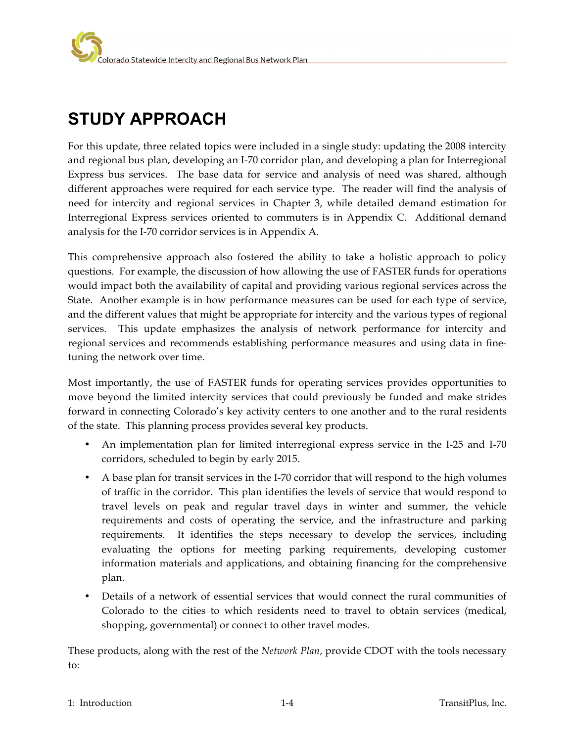# **STUDY APPROACH**

For this update, three related topics were included in a single study: updating the 2008 intercity and regional bus plan, developing an I-70 corridor plan, and developing a plan for Interregional Express bus services. The base data for service and analysis of need was shared, although different approaches were required for each service type. The reader will find the analysis of need for intercity and regional services in Chapter 3, while detailed demand estimation for Interregional Express services oriented to commuters is in Appendix C. Additional demand analysis for the I-70 corridor services is in Appendix A.

This comprehensive approach also fostered the ability to take a holistic approach to policy questions. For example, the discussion of how allowing the use of FASTER funds for operations would impact both the availability of capital and providing various regional services across the State. Another example is in how performance measures can be used for each type of service, and the different values that might be appropriate for intercity and the various types of regional services. This update emphasizes the analysis of network performance for intercity and regional services and recommends establishing performance measures and using data in finetuning the network over time.

Most importantly, the use of FASTER funds for operating services provides opportunities to move beyond the limited intercity services that could previously be funded and make strides forward in connecting Colorado's key activity centers to one another and to the rural residents of the state. This planning process provides several key products.

- An implementation plan for limited interregional express service in the I-25 and I-70 corridors, scheduled to begin by early 2015.
- A base plan for transit services in the I-70 corridor that will respond to the high volumes of traffic in the corridor. This plan identifies the levels of service that would respond to travel levels on peak and regular travel days in winter and summer, the vehicle requirements and costs of operating the service, and the infrastructure and parking requirements. It identifies the steps necessary to develop the services, including evaluating the options for meeting parking requirements, developing customer information materials and applications, and obtaining financing for the comprehensive plan.
- Details of a network of essential services that would connect the rural communities of Colorado to the cities to which residents need to travel to obtain services (medical, shopping, governmental) or connect to other travel modes.

These products, along with the rest of the *Network Plan*, provide CDOT with the tools necessary to: